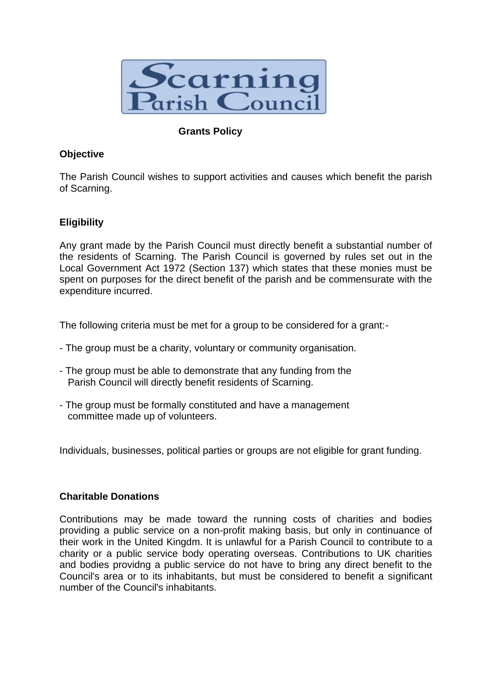

## **Grants Policy**

## **Objective**

The Parish Council wishes to support activities and causes which benefit the parish of Scarning.

## **Eligibility**

Any grant made by the Parish Council must directly benefit a substantial number of the residents of Scarning. The Parish Council is governed by rules set out in the Local Government Act 1972 (Section 137) which states that these monies must be spent on purposes for the direct benefit of the parish and be commensurate with the expenditure incurred.

The following criteria must be met for a group to be considered for a grant:-

- The group must be a charity, voluntary or community organisation.
- The group must be able to demonstrate that any funding from the Parish Council will directly benefit residents of Scarning.
- The group must be formally constituted and have a management committee made up of volunteers.

Individuals, businesses, political parties or groups are not eligible for grant funding.

#### **Charitable Donations**

Contributions may be made toward the running costs of charities and bodies providing a public service on a non-profit making basis, but only in continuance of their work in the United Kingdm. It is unlawful for a Parish Council to contribute to a charity or a public service body operating overseas. Contributions to UK charities and bodies providng a public service do not have to bring any direct benefit to the Council's area or to its inhabitants, but must be considered to benefit a significant number of the Council's inhabitants.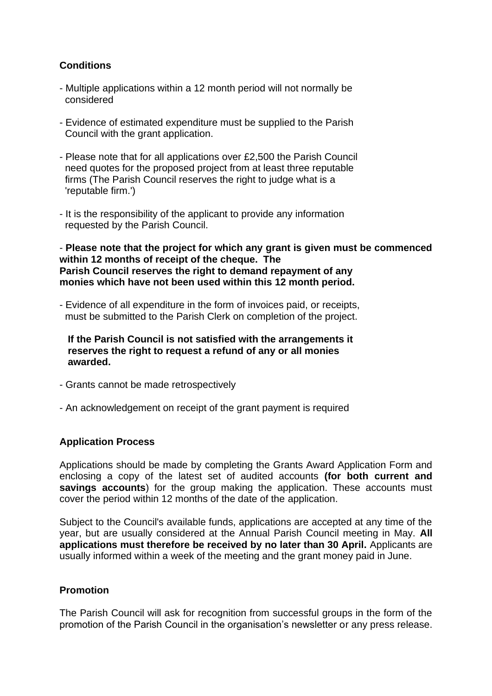# **Conditions**

- Multiple applications within a 12 month period will not normally be considered
- Evidence of estimated expenditure must be supplied to the Parish Council with the grant application.
- Please note that for all applications over £2,500 the Parish Council need quotes for the proposed project from at least three reputable firms (The Parish Council reserves the right to judge what is a 'reputable firm.')
- It is the responsibility of the applicant to provide any information requested by the Parish Council.

- **Please note that the project for which any grant is given must be commenced within 12 months of receipt of the cheque. The Parish Council reserves the right to demand repayment of any monies which have not been used within this 12 month period.** 

- Evidence of all expenditure in the form of invoices paid, or receipts, must be submitted to the Parish Clerk on completion of the project.

 **If the Parish Council is not satisfied with the arrangements it reserves the right to request a refund of any or all monies awarded.** 

- Grants cannot be made retrospectively
- An acknowledgement on receipt of the grant payment is required

#### **Application Process**

Applications should be made by completing the Grants Award Application Form and enclosing a copy of the latest set of audited accounts **(for both current and savings accounts**) for the group making the application. These accounts must cover the period within 12 months of the date of the application.

Subject to the Council's available funds, applications are accepted at any time of the year, but are usually considered at the Annual Parish Council meeting in May. **All applications must therefore be received by no later than 30 April.** Applicants are usually informed within a week of the meeting and the grant money paid in June.

#### **Promotion**

The Parish Council will ask for recognition from successful groups in the form of the promotion of the Parish Council in the organisation's newsletter or any press release.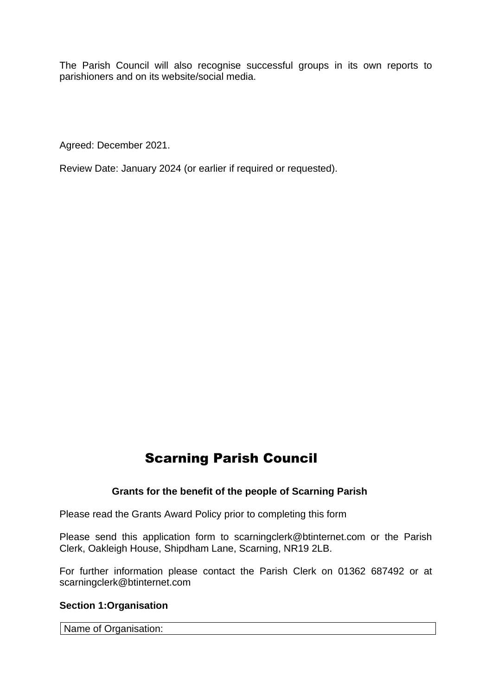The Parish Council will also recognise successful groups in its own reports to parishioners and on its website/social media.

Agreed: December 2021.

Review Date: January 2024 (or earlier if required or requested).

# Scarning Parish Council

#### **Grants for the benefit of the people of Scarning Parish**

Please read the Grants Award Policy prior to completing this form

Please send this application form to scarningclerk@btinternet.com or the Parish Clerk, Oakleigh House, Shipdham Lane, Scarning, NR19 2LB.

For further information please contact the Parish Clerk on 01362 687492 or at scarningclerk@btinternet.com

#### **Section 1:Organisation**

Name of Organisation: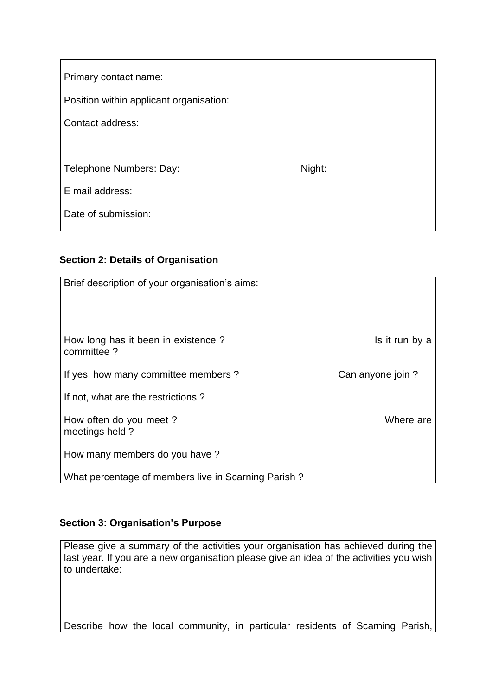| Primary contact name:                   |        |
|-----------------------------------------|--------|
| Position within applicant organisation: |        |
| Contact address:                        |        |
|                                         |        |
| Telephone Numbers: Day:                 | Night: |
| E mail address:                         |        |
| Date of submission:                     |        |

# **Section 2: Details of Organisation**

| Brief description of your organisation's aims:      |                  |
|-----------------------------------------------------|------------------|
|                                                     |                  |
|                                                     |                  |
| How long has it been in existence?<br>committee?    | Is it run by a   |
| If yes, how many committee members?                 | Can anyone join? |
| If not, what are the restrictions?                  |                  |
| How often do you meet?<br>meetings held?            | Where are        |
| How many members do you have?                       |                  |
| What percentage of members live in Scarning Parish? |                  |

## **Section 3: Organisation's Purpose**

Please give a summary of the activities your organisation has achieved during the last year. If you are a new organisation please give an idea of the activities you wish to undertake:

Describe how the local community, in particular residents of Scarning Parish,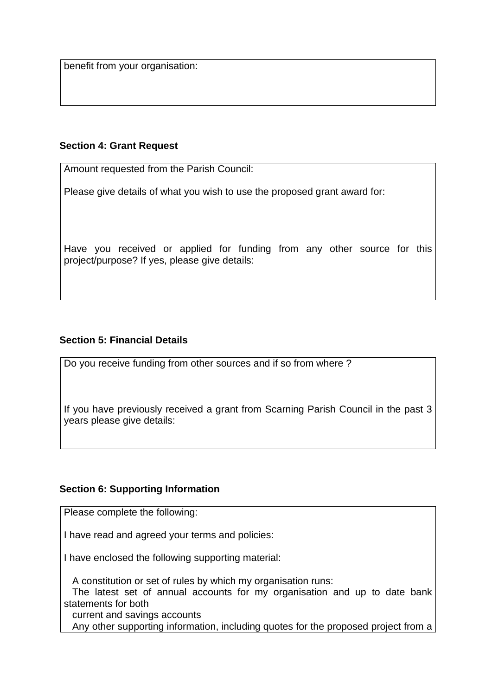benefit from your organisation:

#### **Section 4: Grant Request**

Amount requested from the Parish Council:

Please give details of what you wish to use the proposed grant award for:

Have you received or applied for funding from any other source for this project/purpose? If yes, please give details:

## **Section 5: Financial Details**

Do you receive funding from other sources and if so from where ?

If you have previously received a grant from Scarning Parish Council in the past 3 years please give details:

## **Section 6: Supporting Information**

Please complete the following:

I have read and agreed your terms and policies:

I have enclosed the following supporting material:

 A constitution or set of rules by which my organisation runs: The latest set of annual accounts for my organisation and up to date bank statements for both current and savings accounts

Any other supporting information, including quotes for the proposed project from a